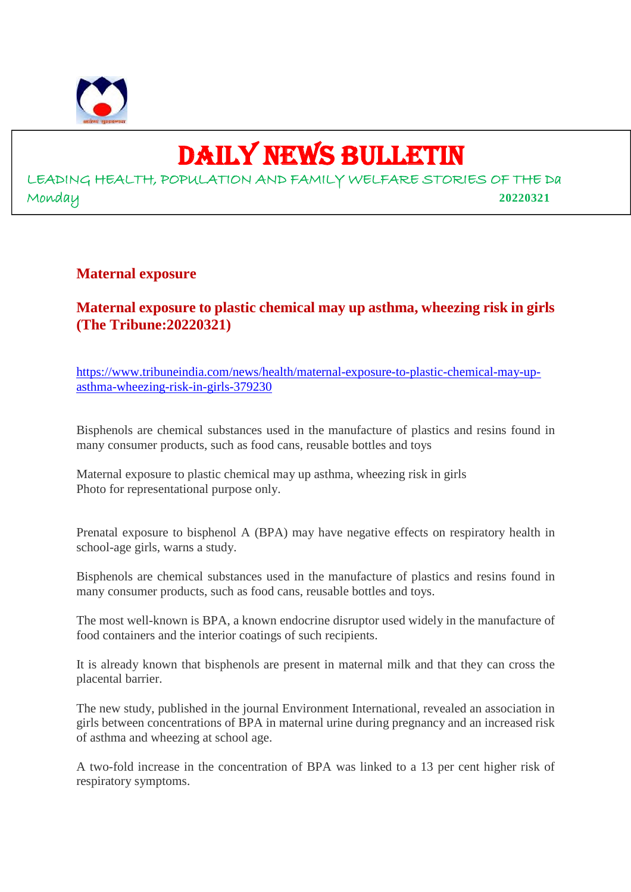

## DAILY NEWS BULLETIN

LEADING HEALTH, POPULATION AND FAMILY WELFARE STORIES OF THE Da Monday **20220321**

#### **Maternal exposure**

#### **Maternal exposure to plastic chemical may up asthma, wheezing risk in girls (The Tribune:20220321)**

https://www.tribuneindia.com/news/health/maternal-exposure-to-plastic-chemical-may-upasthma-wheezing-risk-in-girls-379230

Bisphenols are chemical substances used in the manufacture of plastics and resins found in many consumer products, such as food cans, reusable bottles and toys

Maternal exposure to plastic chemical may up asthma, wheezing risk in girls Photo for representational purpose only.

Prenatal exposure to bisphenol A (BPA) may have negative effects on respiratory health in school-age girls, warns a study.

Bisphenols are chemical substances used in the manufacture of plastics and resins found in many consumer products, such as food cans, reusable bottles and toys.

The most well-known is BPA, a known endocrine disruptor used widely in the manufacture of food containers and the interior coatings of such recipients.

It is already known that bisphenols are present in maternal milk and that they can cross the placental barrier.

The new study, published in the journal Environment International, revealed an association in girls between concentrations of BPA in maternal urine during pregnancy and an increased risk of asthma and wheezing at school age.

A two-fold increase in the concentration of BPA was linked to a 13 per cent higher risk of respiratory symptoms.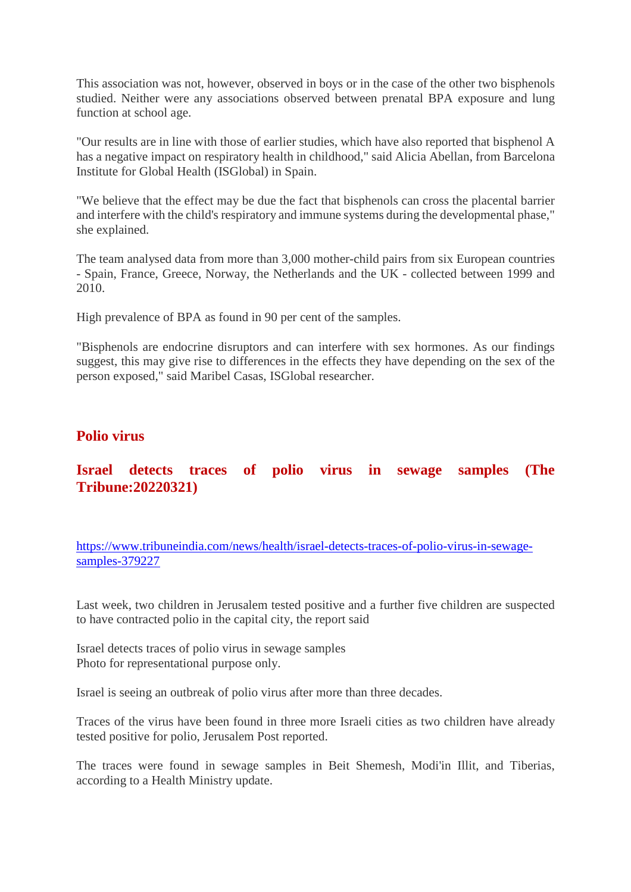This association was not, however, observed in boys or in the case of the other two bisphenols studied. Neither were any associations observed between prenatal BPA exposure and lung function at school age.

"Our results are in line with those of earlier studies, which have also reported that bisphenol A has a negative impact on respiratory health in childhood," said Alicia Abellan, from Barcelona Institute for Global Health (ISGlobal) in Spain.

"We believe that the effect may be due the fact that bisphenols can cross the placental barrier and interfere with the child's respiratory and immune systems during the developmental phase," she explained.

The team analysed data from more than 3,000 mother-child pairs from six European countries - Spain, France, Greece, Norway, the Netherlands and the UK - collected between 1999 and 2010.

High prevalence of BPA as found in 90 per cent of the samples.

"Bisphenols are endocrine disruptors and can interfere with sex hormones. As our findings suggest, this may give rise to differences in the effects they have depending on the sex of the person exposed," said Maribel Casas, ISGlobal researcher.

#### **Polio virus**

#### **Israel detects traces of polio virus in sewage samples (The Tribune:20220321)**

https://www.tribuneindia.com/news/health/israel-detects-traces-of-polio-virus-in-sewagesamples-379227

Last week, two children in Jerusalem tested positive and a further five children are suspected to have contracted polio in the capital city, the report said

Israel detects traces of polio virus in sewage samples Photo for representational purpose only.

Israel is seeing an outbreak of polio virus after more than three decades.

Traces of the virus have been found in three more Israeli cities as two children have already tested positive for polio, Jerusalem Post reported.

The traces were found in sewage samples in Beit Shemesh, Modi'in Illit, and Tiberias, according to a Health Ministry update.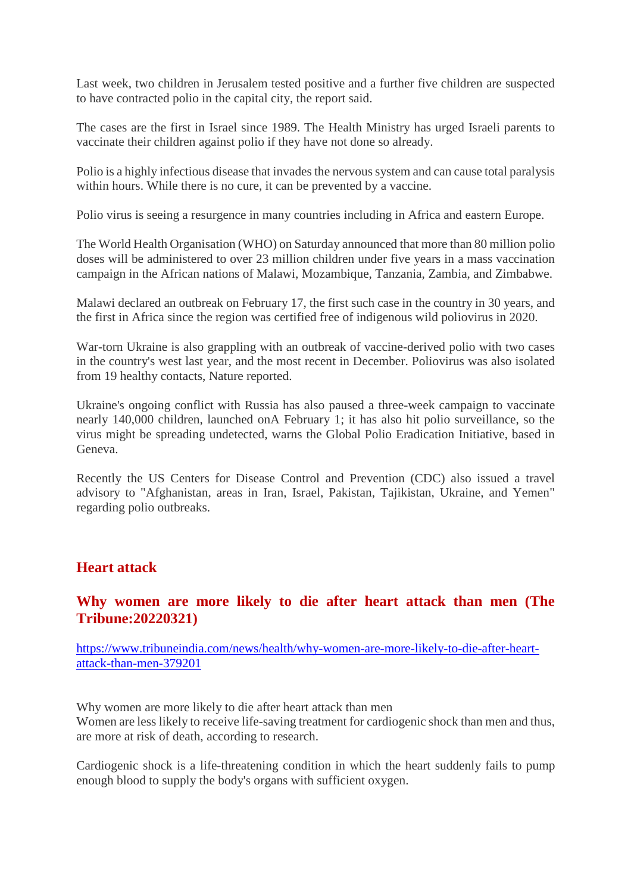Last week, two children in Jerusalem tested positive and a further five children are suspected to have contracted polio in the capital city, the report said.

The cases are the first in Israel since 1989. The Health Ministry has urged Israeli parents to vaccinate their children against polio if they have not done so already.

Polio is a highly infectious disease that invades the nervous system and can cause total paralysis within hours. While there is no cure, it can be prevented by a vaccine.

Polio virus is seeing a resurgence in many countries including in Africa and eastern Europe.

The World Health Organisation (WHO) on Saturday announced that more than 80 million polio doses will be administered to over 23 million children under five years in a mass vaccination campaign in the African nations of Malawi, Mozambique, Tanzania, Zambia, and Zimbabwe.

Malawi declared an outbreak on February 17, the first such case in the country in 30 years, and the first in Africa since the region was certified free of indigenous wild poliovirus in 2020.

War-torn Ukraine is also grappling with an outbreak of vaccine-derived polio with two cases in the country's west last year, and the most recent in December. Poliovirus was also isolated from 19 healthy contacts, Nature reported.

Ukraine's ongoing conflict with Russia has also paused a three-week campaign to vaccinate nearly 140,000 children, launched onA February 1; it has also hit polio surveillance, so the virus might be spreading undetected, warns the Global Polio Eradication Initiative, based in Geneva.

Recently the US Centers for Disease Control and Prevention (CDC) also issued a travel advisory to "Afghanistan, areas in Iran, Israel, Pakistan, Tajikistan, Ukraine, and Yemen" regarding polio outbreaks.

#### **Heart attack**

#### **Why women are more likely to die after heart attack than men (The Tribune:20220321)**

https://www.tribuneindia.com/news/health/why-women-are-more-likely-to-die-after-heartattack-than-men-379201

Why women are more likely to die after heart attack than men Women are less likely to receive life-saving treatment for cardiogenic shock than men and thus, are more at risk of death, according to research.

Cardiogenic shock is a life-threatening condition in which the heart suddenly fails to pump enough blood to supply the body's organs with sufficient oxygen.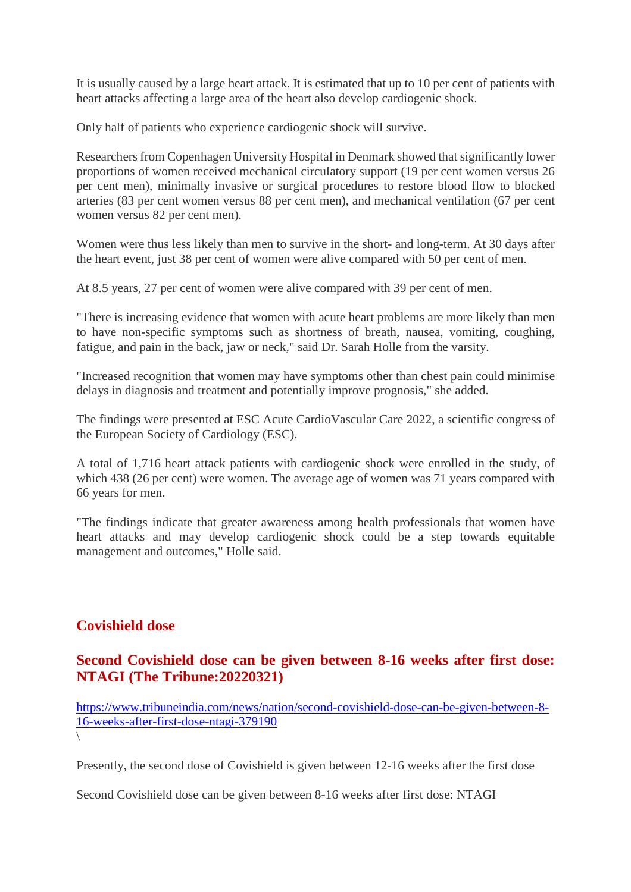It is usually caused by a large heart attack. It is estimated that up to 10 per cent of patients with heart attacks affecting a large area of the heart also develop cardiogenic shock.

Only half of patients who experience cardiogenic shock will survive.

Researchers from Copenhagen University Hospital in Denmark showed that significantly lower proportions of women received mechanical circulatory support (19 per cent women versus 26 per cent men), minimally invasive or surgical procedures to restore blood flow to blocked arteries (83 per cent women versus 88 per cent men), and mechanical ventilation (67 per cent women versus 82 per cent men).

Women were thus less likely than men to survive in the short- and long-term. At 30 days after the heart event, just 38 per cent of women were alive compared with 50 per cent of men.

At 8.5 years, 27 per cent of women were alive compared with 39 per cent of men.

"There is increasing evidence that women with acute heart problems are more likely than men to have non-specific symptoms such as shortness of breath, nausea, vomiting, coughing, fatigue, and pain in the back, jaw or neck," said Dr. Sarah Holle from the varsity.

"Increased recognition that women may have symptoms other than chest pain could minimise delays in diagnosis and treatment and potentially improve prognosis," she added.

The findings were presented at ESC Acute CardioVascular Care 2022, a scientific congress of the European Society of Cardiology (ESC).

A total of 1,716 heart attack patients with cardiogenic shock were enrolled in the study, of which 438 (26 per cent) were women. The average age of women was 71 years compared with 66 years for men.

"The findings indicate that greater awareness among health professionals that women have heart attacks and may develop cardiogenic shock could be a step towards equitable management and outcomes," Holle said.

#### **Covishield dose**

#### **Second Covishield dose can be given between 8-16 weeks after first dose: NTAGI (The Tribune:20220321)**

https://www.tribuneindia.com/news/nation/second-covishield-dose-can-be-given-between-8- 16-weeks-after-first-dose-ntagi-379190  $\backslash$ 

Presently, the second dose of Covishield is given between 12-16 weeks after the first dose

Second Covishield dose can be given between 8-16 weeks after first dose: NTAGI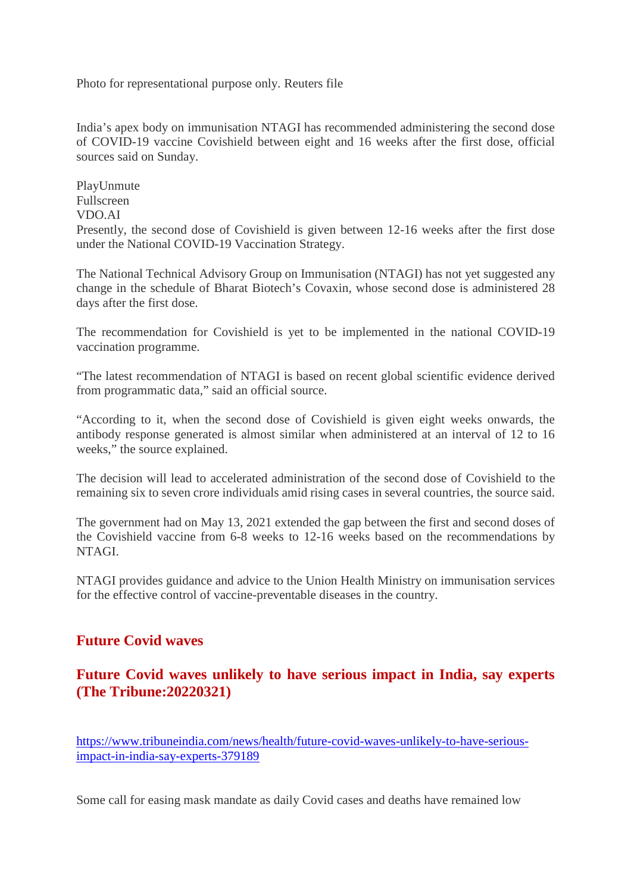Photo for representational purpose only. Reuters file

India's apex body on immunisation NTAGI has recommended administering the second dose of COVID-19 vaccine Covishield between eight and 16 weeks after the first dose, official sources said on Sunday.

PlayUnmute Fullscreen VDO.AI Presently, the second dose of Covishield is given between 12-16 weeks after the first dose under the National COVID-19 Vaccination Strategy.

The National Technical Advisory Group on Immunisation (NTAGI) has not yet suggested any change in the schedule of Bharat Biotech's Covaxin, whose second dose is administered 28 days after the first dose.

The recommendation for Covishield is yet to be implemented in the national COVID-19 vaccination programme.

"The latest recommendation of NTAGI is based on recent global scientific evidence derived from programmatic data," said an official source.

"According to it, when the second dose of Covishield is given eight weeks onwards, the antibody response generated is almost similar when administered at an interval of 12 to 16 weeks," the source explained.

The decision will lead to accelerated administration of the second dose of Covishield to the remaining six to seven crore individuals amid rising cases in several countries, the source said.

The government had on May 13, 2021 extended the gap between the first and second doses of the Covishield vaccine from 6-8 weeks to 12-16 weeks based on the recommendations by NTAGI.

NTAGI provides guidance and advice to the Union Health Ministry on immunisation services for the effective control of vaccine-preventable diseases in the country.

#### **Future Covid waves**

#### **Future Covid waves unlikely to have serious impact in India, say experts (The Tribune:20220321)**

https://www.tribuneindia.com/news/health/future-covid-waves-unlikely-to-have-seriousimpact-in-india-say-experts-379189

Some call for easing mask mandate as daily Covid cases and deaths have remained low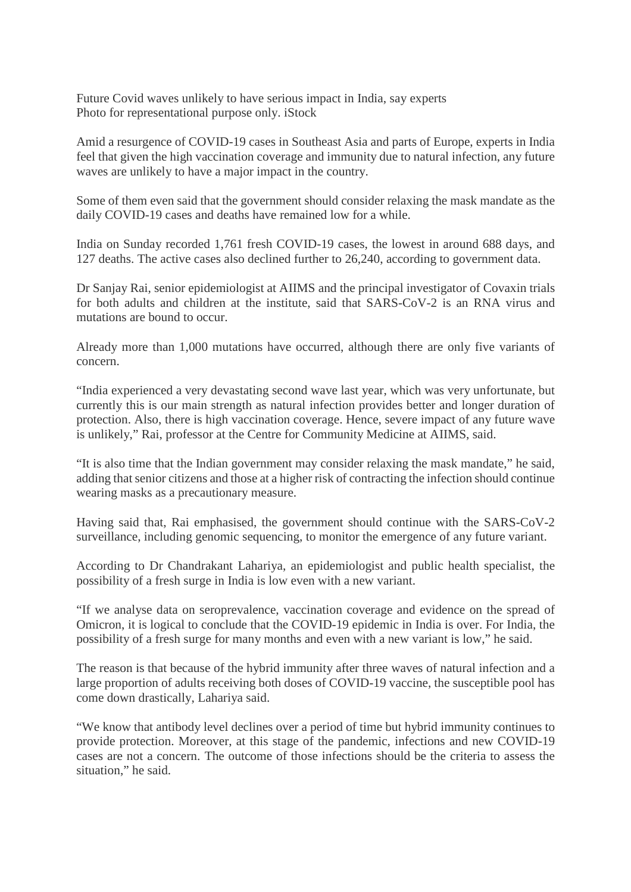Future Covid waves unlikely to have serious impact in India, say experts Photo for representational purpose only. iStock

Amid a resurgence of COVID-19 cases in Southeast Asia and parts of Europe, experts in India feel that given the high vaccination coverage and immunity due to natural infection, any future waves are unlikely to have a major impact in the country.

Some of them even said that the government should consider relaxing the mask mandate as the daily COVID-19 cases and deaths have remained low for a while.

India on Sunday recorded 1,761 fresh COVID-19 cases, the lowest in around 688 days, and 127 deaths. The active cases also declined further to 26,240, according to government data.

Dr Sanjay Rai, senior epidemiologist at AIIMS and the principal investigator of Covaxin trials for both adults and children at the institute, said that SARS-CoV-2 is an RNA virus and mutations are bound to occur.

Already more than 1,000 mutations have occurred, although there are only five variants of concern.

"India experienced a very devastating second wave last year, which was very unfortunate, but currently this is our main strength as natural infection provides better and longer duration of protection. Also, there is high vaccination coverage. Hence, severe impact of any future wave is unlikely," Rai, professor at the Centre for Community Medicine at AIIMS, said.

"It is also time that the Indian government may consider relaxing the mask mandate," he said, adding that senior citizens and those at a higher risk of contracting the infection should continue wearing masks as a precautionary measure.

Having said that, Rai emphasised, the government should continue with the SARS-CoV-2 surveillance, including genomic sequencing, to monitor the emergence of any future variant.

According to Dr Chandrakant Lahariya, an epidemiologist and public health specialist, the possibility of a fresh surge in India is low even with a new variant.

"If we analyse data on seroprevalence, vaccination coverage and evidence on the spread of Omicron, it is logical to conclude that the COVID-19 epidemic in India is over. For India, the possibility of a fresh surge for many months and even with a new variant is low," he said.

The reason is that because of the hybrid immunity after three waves of natural infection and a large proportion of adults receiving both doses of COVID-19 vaccine, the susceptible pool has come down drastically, Lahariya said.

"We know that antibody level declines over a period of time but hybrid immunity continues to provide protection. Moreover, at this stage of the pandemic, infections and new COVID-19 cases are not a concern. The outcome of those infections should be the criteria to assess the situation," he said.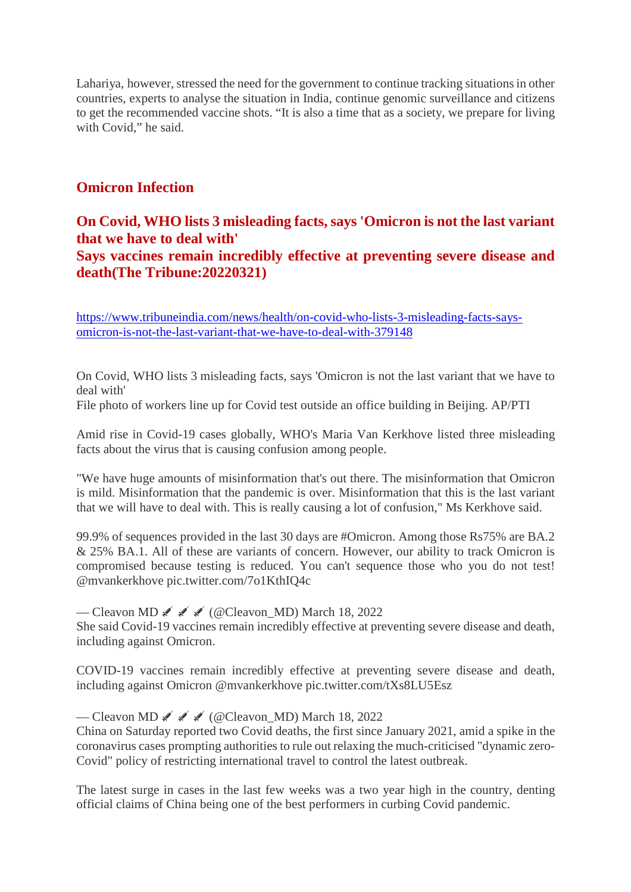Lahariya, however, stressed the need for the government to continue tracking situations in other countries, experts to analyse the situation in India, continue genomic surveillance and citizens to get the recommended vaccine shots. "It is also a time that as a society, we prepare for living with Covid," he said.

#### **Omicron Infection**

#### **On Covid, WHO lists 3 misleading facts, says 'Omicron is not the last variant that we have to deal with' Says vaccines remain incredibly effective at preventing severe disease and death(The Tribune:20220321)**

https://www.tribuneindia.com/news/health/on-covid-who-lists-3-misleading-facts-saysomicron-is-not-the-last-variant-that-we-have-to-deal-with-379148

On Covid, WHO lists 3 misleading facts, says 'Omicron is not the last variant that we have to deal with'

File photo of workers line up for Covid test outside an office building in Beijing. AP/PTI

Amid rise in Covid-19 cases globally, WHO's Maria Van Kerkhove listed three misleading facts about the virus that is causing confusion among people.

"We have huge amounts of misinformation that's out there. The misinformation that Omicron is mild. Misinformation that the pandemic is over. Misinformation that this is the last variant that we will have to deal with. This is really causing a lot of confusion," Ms Kerkhove said.

99.9% of sequences provided in the last 30 days are #Omicron. Among those Rs75% are BA.2 & 25% BA.1. All of these are variants of concern. However, our ability to track Omicron is compromised because testing is reduced. You can't sequence those who you do not test! @mvankerkhove pic.twitter.com/7o1KthIQ4c

— Cleavon MD  $\ll \ll$  (@Cleavon\_MD) March 18, 2022 She said Covid-19 vaccines remain incredibly effective at preventing severe disease and death, including against Omicron.

COVID-19 vaccines remain incredibly effective at preventing severe disease and death, including against Omicron @mvankerkhove pic.twitter.com/tXs8LU5Esz

#### — Cleavon MD  $\mathcal{N}$   $\mathcal{N}$  (@Cleavon MD) March 18, 2022

China on Saturday reported two Covid deaths, the first since January 2021, amid a spike in the coronavirus cases prompting authorities to rule out relaxing the much-criticised "dynamic zero-Covid" policy of restricting international travel to control the latest outbreak.

The latest surge in cases in the last few weeks was a two year high in the country, denting official claims of China being one of the best performers in curbing Covid pandemic.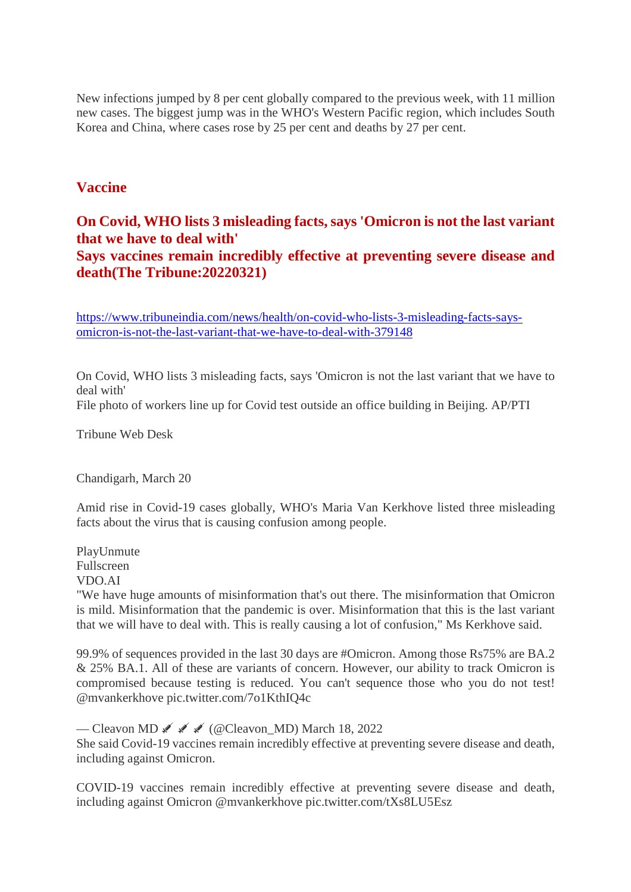New infections jumped by 8 per cent globally compared to the previous week, with 11 million new cases. The biggest jump was in the WHO's Western Pacific region, which includes South Korea and China, where cases rose by 25 per cent and deaths by 27 per cent.

#### **Vaccine**

#### **On Covid, WHO lists 3 misleading facts, says 'Omicron is not the last variant that we have to deal with' Says vaccines remain incredibly effective at preventing severe disease and death(The Tribune:20220321)**

https://www.tribuneindia.com/news/health/on-covid-who-lists-3-misleading-facts-saysomicron-is-not-the-last-variant-that-we-have-to-deal-with-379148

On Covid, WHO lists 3 misleading facts, says 'Omicron is not the last variant that we have to deal with'

File photo of workers line up for Covid test outside an office building in Beijing. AP/PTI

Tribune Web Desk

Chandigarh, March 20

Amid rise in Covid-19 cases globally, WHO's Maria Van Kerkhove listed three misleading facts about the virus that is causing confusion among people.

PlayUnmute Fullscreen

VDO.AI

"We have huge amounts of misinformation that's out there. The misinformation that Omicron is mild. Misinformation that the pandemic is over. Misinformation that this is the last variant that we will have to deal with. This is really causing a lot of confusion," Ms Kerkhove said.

99.9% of sequences provided in the last 30 days are #Omicron. Among those Rs75% are BA.2 & 25% BA.1. All of these are variants of concern. However, our ability to track Omicron is compromised because testing is reduced. You can't sequence those who you do not test! @mvankerkhove pic.twitter.com/7o1KthIQ4c

— Cleavon MD  $\mathscr{F} \mathscr{F}$  (@Cleavon\_MD) March 18, 2022 She said Covid-19 vaccines remain incredibly effective at preventing severe disease and death, including against Omicron.

COVID-19 vaccines remain incredibly effective at preventing severe disease and death, including against Omicron @mvankerkhove pic.twitter.com/tXs8LU5Esz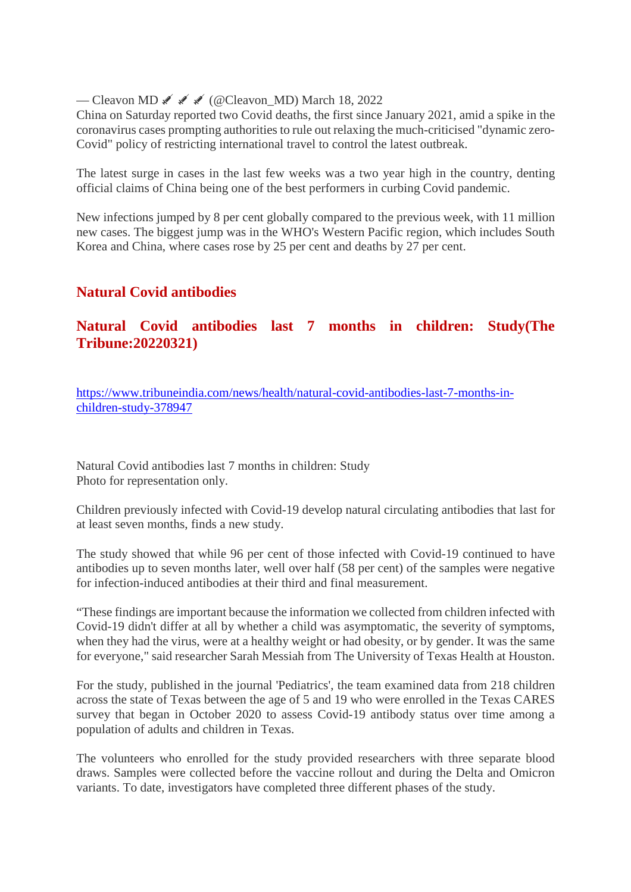— Cleavon MD  $\mathscr{F} \mathscr{F}$  (@Cleavon\_MD) March 18, 2022

China on Saturday reported two Covid deaths, the first since January 2021, amid a spike in the coronavirus cases prompting authorities to rule out relaxing the much-criticised "dynamic zero-Covid" policy of restricting international travel to control the latest outbreak.

The latest surge in cases in the last few weeks was a two year high in the country, denting official claims of China being one of the best performers in curbing Covid pandemic.

New infections jumped by 8 per cent globally compared to the previous week, with 11 million new cases. The biggest jump was in the WHO's Western Pacific region, which includes South Korea and China, where cases rose by 25 per cent and deaths by 27 per cent.

#### **Natural Covid antibodies**

#### **Natural Covid antibodies last 7 months in children: Study(The Tribune:20220321)**

https://www.tribuneindia.com/news/health/natural-covid-antibodies-last-7-months-inchildren-study-378947

Natural Covid antibodies last 7 months in children: Study Photo for representation only.

Children previously infected with Covid-19 develop natural circulating antibodies that last for at least seven months, finds a new study.

The study showed that while 96 per cent of those infected with Covid-19 continued to have antibodies up to seven months later, well over half (58 per cent) of the samples were negative for infection-induced antibodies at their third and final measurement.

"These findings are important because the information we collected from children infected with Covid-19 didn't differ at all by whether a child was asymptomatic, the severity of symptoms, when they had the virus, were at a healthy weight or had obesity, or by gender. It was the same for everyone," said researcher Sarah Messiah from The University of Texas Health at Houston.

For the study, published in the journal 'Pediatrics', the team examined data from 218 children across the state of Texas between the age of 5 and 19 who were enrolled in the Texas CARES survey that began in October 2020 to assess Covid-19 antibody status over time among a population of adults and children in Texas.

The volunteers who enrolled for the study provided researchers with three separate blood draws. Samples were collected before the vaccine rollout and during the Delta and Omicron variants. To date, investigators have completed three different phases of the study.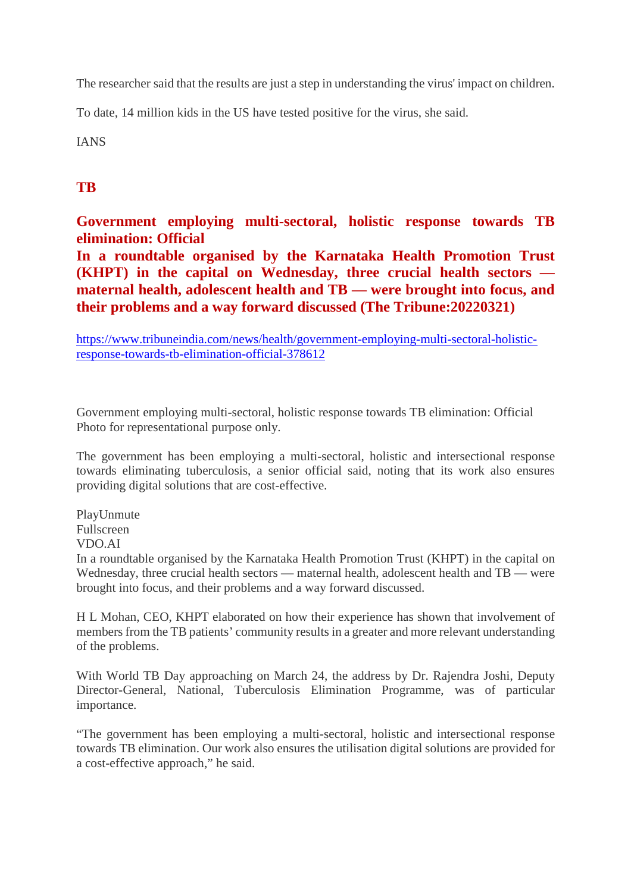The researcher said that the results are just a step in understanding the virus' impact on children.

To date, 14 million kids in the US have tested positive for the virus, she said.

IANS

#### **TB**

**Government employing multi-sectoral, holistic response towards TB elimination: Official**

**In a roundtable organised by the Karnataka Health Promotion Trust (KHPT) in the capital on Wednesday, three crucial health sectors maternal health, adolescent health and TB — were brought into focus, and their problems and a way forward discussed (The Tribune:20220321)**

https://www.tribuneindia.com/news/health/government-employing-multi-sectoral-holisticresponse-towards-tb-elimination-official-378612

Government employing multi-sectoral, holistic response towards TB elimination: Official Photo for representational purpose only.

The government has been employing a multi-sectoral, holistic and intersectional response towards eliminating tuberculosis, a senior official said, noting that its work also ensures providing digital solutions that are cost-effective.

PlayUnmute Fullscreen VDO.AI

In a roundtable organised by the Karnataka Health Promotion Trust (KHPT) in the capital on Wednesday, three crucial health sectors — maternal health, adolescent health and TB — were brought into focus, and their problems and a way forward discussed.

H L Mohan, CEO, KHPT elaborated on how their experience has shown that involvement of members from the TB patients' community results in a greater and more relevant understanding of the problems.

With World TB Day approaching on March 24, the address by Dr. Rajendra Joshi, Deputy Director-General, National, Tuberculosis Elimination Programme, was of particular importance.

"The government has been employing a multi-sectoral, holistic and intersectional response towards TB elimination. Our work also ensures the utilisation digital solutions are provided for a cost-effective approach," he said.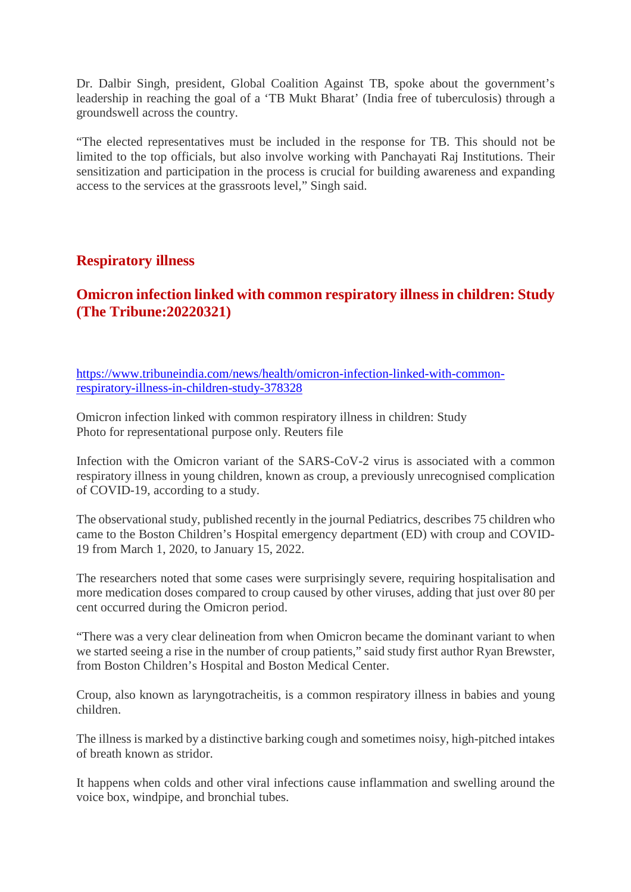Dr. Dalbir Singh, president, Global Coalition Against TB, spoke about the government's leadership in reaching the goal of a 'TB Mukt Bharat' (India free of tuberculosis) through a groundswell across the country.

"The elected representatives must be included in the response for TB. This should not be limited to the top officials, but also involve working with Panchayati Raj Institutions. Their sensitization and participation in the process is crucial for building awareness and expanding access to the services at the grassroots level," Singh said.

#### **Respiratory illness**

#### **Omicron infection linked with common respiratory illness in children: Study (The Tribune:20220321)**

https://www.tribuneindia.com/news/health/omicron-infection-linked-with-commonrespiratory-illness-in-children-study-378328

Omicron infection linked with common respiratory illness in children: Study Photo for representational purpose only. Reuters file

Infection with the Omicron variant of the SARS-CoV-2 virus is associated with a common respiratory illness in young children, known as croup, a previously unrecognised complication of COVID-19, according to a study.

The observational study, published recently in the journal Pediatrics, describes 75 children who came to the Boston Children's Hospital emergency department (ED) with croup and COVID-19 from March 1, 2020, to January 15, 2022.

The researchers noted that some cases were surprisingly severe, requiring hospitalisation and more medication doses compared to croup caused by other viruses, adding that just over 80 per cent occurred during the Omicron period.

"There was a very clear delineation from when Omicron became the dominant variant to when we started seeing a rise in the number of croup patients," said study first author Ryan Brewster, from Boston Children's Hospital and Boston Medical Center.

Croup, also known as laryngotracheitis, is a common respiratory illness in babies and young children.

The illness is marked by a distinctive barking cough and sometimes noisy, high-pitched intakes of breath known as stridor.

It happens when colds and other viral infections cause inflammation and swelling around the voice box, windpipe, and bronchial tubes.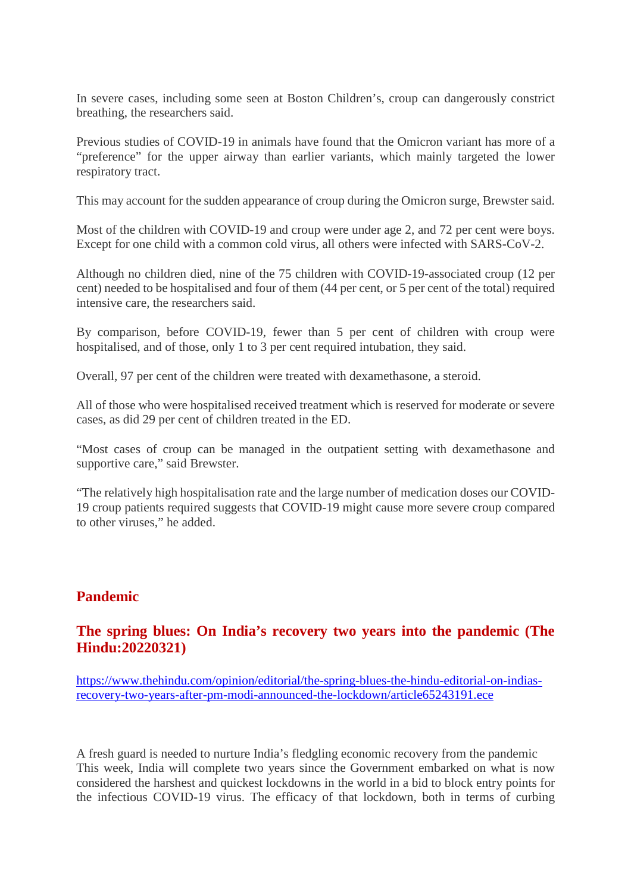In severe cases, including some seen at Boston Children's, croup can dangerously constrict breathing, the researchers said.

Previous studies of COVID-19 in animals have found that the Omicron variant has more of a "preference" for the upper airway than earlier variants, which mainly targeted the lower respiratory tract.

This may account for the sudden appearance of croup during the Omicron surge, Brewster said.

Most of the children with COVID-19 and croup were under age 2, and 72 per cent were boys. Except for one child with a common cold virus, all others were infected with SARS-CoV-2.

Although no children died, nine of the 75 children with COVID-19-associated croup (12 per cent) needed to be hospitalised and four of them (44 per cent, or 5 per cent of the total) required intensive care, the researchers said.

By comparison, before COVID-19, fewer than 5 per cent of children with croup were hospitalised, and of those, only 1 to 3 per cent required intubation, they said.

Overall, 97 per cent of the children were treated with dexamethasone, a steroid.

All of those who were hospitalised received treatment which is reserved for moderate or severe cases, as did 29 per cent of children treated in the ED.

"Most cases of croup can be managed in the outpatient setting with dexamethasone and supportive care," said Brewster.

"The relatively high hospitalisation rate and the large number of medication doses our COVID-19 croup patients required suggests that COVID-19 might cause more severe croup compared to other viruses," he added.

#### **Pandemic**

#### **The spring blues: On India's recovery two years into the pandemic (The Hindu:20220321)**

https://www.thehindu.com/opinion/editorial/the-spring-blues-the-hindu-editorial-on-indiasrecovery-two-years-after-pm-modi-announced-the-lockdown/article65243191.ece

A fresh guard is needed to nurture India's fledgling economic recovery from the pandemic This week, India will complete two years since the Government embarked on what is now considered the harshest and quickest lockdowns in the world in a bid to block entry points for the infectious COVID-19 virus. The efficacy of that lockdown, both in terms of curbing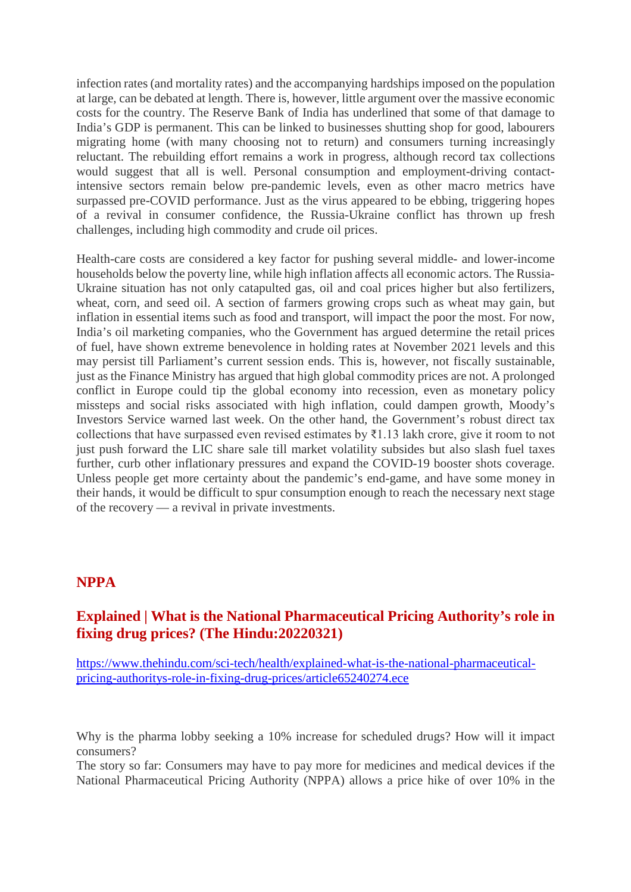infection rates (and mortality rates) and the accompanying hardships imposed on the population at large, can be debated at length. There is, however, little argument over the massive economic costs for the country. The Reserve Bank of India has underlined that some of that damage to India's GDP is permanent. This can be linked to businesses shutting shop for good, labourers migrating home (with many choosing not to return) and consumers turning increasingly reluctant. The rebuilding effort remains a work in progress, although record tax collections would suggest that all is well. Personal consumption and employment-driving contactintensive sectors remain below pre-pandemic levels, even as other macro metrics have surpassed pre-COVID performance. Just as the virus appeared to be ebbing, triggering hopes of a revival in consumer confidence, the Russia-Ukraine conflict has thrown up fresh challenges, including high commodity and crude oil prices.

Health-care costs are considered a key factor for pushing several middle- and lower-income households below the poverty line, while high inflation affects all economic actors. The Russia-Ukraine situation has not only catapulted gas, oil and coal prices higher but also fertilizers, wheat, corn, and seed oil. A section of farmers growing crops such as wheat may gain, but inflation in essential items such as food and transport, will impact the poor the most. For now, India's oil marketing companies, who the Government has argued determine the retail prices of fuel, have shown extreme benevolence in holding rates at November 2021 levels and this may persist till Parliament's current session ends. This is, however, not fiscally sustainable, just as the Finance Ministry has argued that high global commodity prices are not. A prolonged conflict in Europe could tip the global economy into recession, even as monetary policy missteps and social risks associated with high inflation, could dampen growth, Moody's Investors Service warned last week. On the other hand, the Government's robust direct tax collections that have surpassed even revised estimates by ₹1.13 lakh crore, give it room to not just push forward the LIC share sale till market volatility subsides but also slash fuel taxes further, curb other inflationary pressures and expand the COVID-19 booster shots coverage. Unless people get more certainty about the pandemic's end-game, and have some money in their hands, it would be difficult to spur consumption enough to reach the necessary next stage of the recovery — a revival in private investments.

#### **NPPA**

#### **Explained | What is the National Pharmaceutical Pricing Authority's role in fixing drug prices? (The Hindu:20220321)**

https://www.thehindu.com/sci-tech/health/explained-what-is-the-national-pharmaceuticalpricing-authoritys-role-in-fixing-drug-prices/article65240274.ece

Why is the pharma lobby seeking a 10% increase for scheduled drugs? How will it impact consumers?

The story so far: Consumers may have to pay more for medicines and medical devices if the National Pharmaceutical Pricing Authority (NPPA) allows a price hike of over 10% in the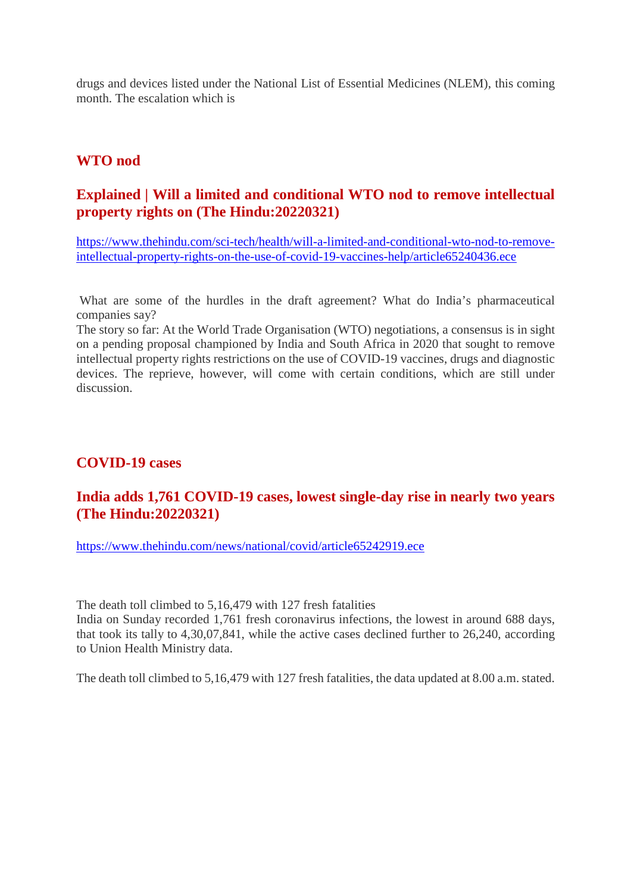drugs and devices listed under the National List of Essential Medicines (NLEM), this coming month. The escalation which is

#### **WTO nod**

#### **Explained | Will a limited and conditional WTO nod to remove intellectual property rights on (The Hindu:20220321)**

https://www.thehindu.com/sci-tech/health/will-a-limited-and-conditional-wto-nod-to-removeintellectual-property-rights-on-the-use-of-covid-19-vaccines-help/article65240436.ece

What are some of the hurdles in the draft agreement? What do India's pharmaceutical companies say?

The story so far: At the World Trade Organisation (WTO) negotiations, a consensus is in sight on a pending proposal championed by India and South Africa in 2020 that sought to remove intellectual property rights restrictions on the use of COVID-19 vaccines, drugs and diagnostic devices. The reprieve, however, will come with certain conditions, which are still under discussion.

#### **COVID-19 cases**

#### **India adds 1,761 COVID-19 cases, lowest single-day rise in nearly two years (The Hindu:20220321)**

https://www.thehindu.com/news/national/covid/article65242919.ece

The death toll climbed to 5,16,479 with 127 fresh fatalities

India on Sunday recorded 1,761 fresh coronavirus infections, the lowest in around 688 days, that took its tally to 4,30,07,841, while the active cases declined further to 26,240, according to Union Health Ministry data.

The death toll climbed to 5,16,479 with 127 fresh fatalities, the data updated at 8.00 a.m. stated.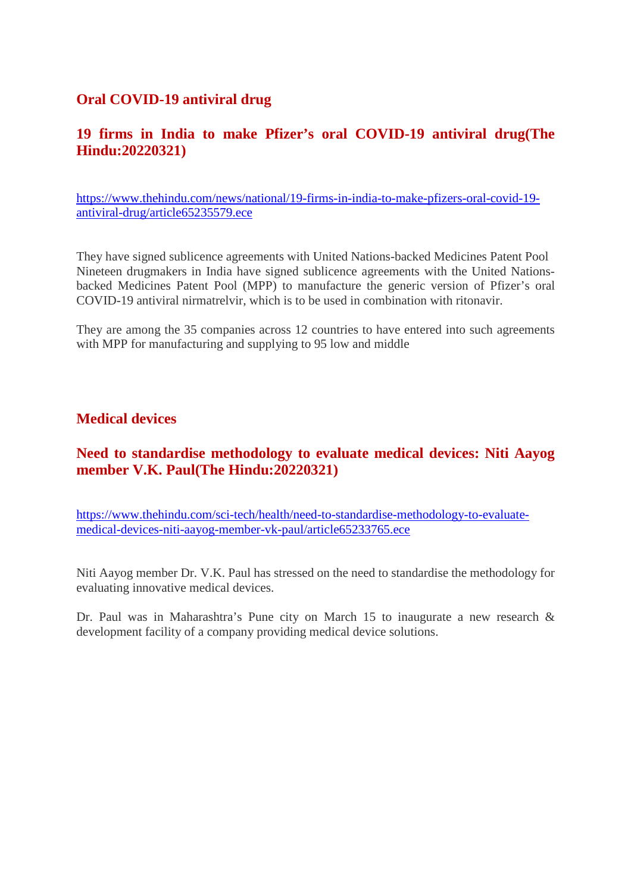#### **Oral COVID-19 antiviral drug**

#### **19 firms in India to make Pfizer's oral COVID-19 antiviral drug(The Hindu:20220321)**

https://www.thehindu.com/news/national/19-firms-in-india-to-make-pfizers-oral-covid-19 antiviral-drug/article65235579.ece

They have signed sublicence agreements with United Nations-backed Medicines Patent Pool Nineteen drugmakers in India have signed sublicence agreements with the United Nationsbacked Medicines Patent Pool (MPP) to manufacture the generic version of Pfizer's oral COVID-19 antiviral nirmatrelvir, which is to be used in combination with ritonavir.

They are among the 35 companies across 12 countries to have entered into such agreements with MPP for manufacturing and supplying to 95 low and middle

#### **Medical devices**

#### **Need to standardise methodology to evaluate medical devices: Niti Aayog member V.K. Paul(The Hindu:20220321)**

https://www.thehindu.com/sci-tech/health/need-to-standardise-methodology-to-evaluatemedical-devices-niti-aayog-member-vk-paul/article65233765.ece

Niti Aayog member Dr. V.K. Paul has stressed on the need to standardise the methodology for evaluating innovative medical devices.

Dr. Paul was in Maharashtra's Pune city on March 15 to inaugurate a new research & development facility of a company providing medical device solutions.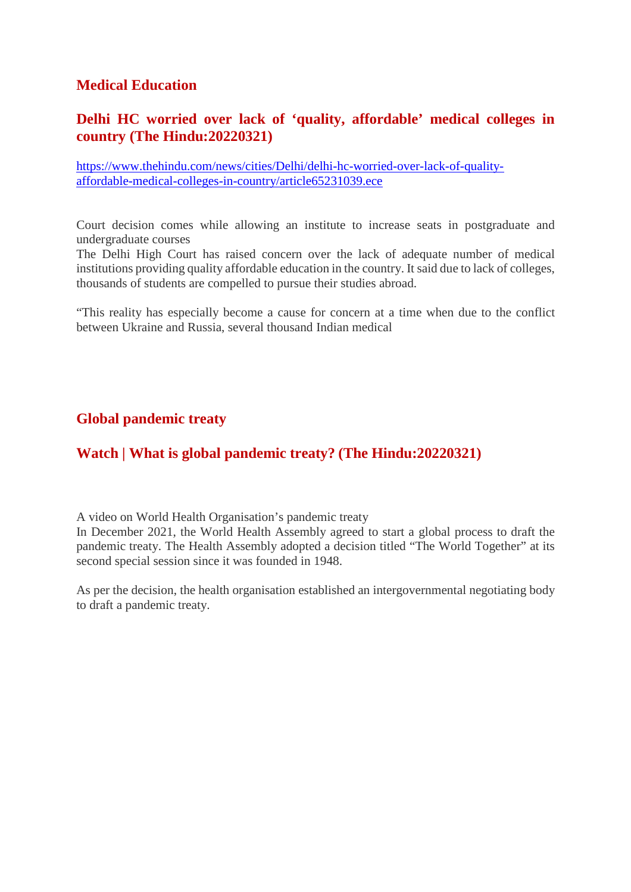#### **Medical Education**

#### **Delhi HC worried over lack of 'quality, affordable' medical colleges in country (The Hindu:20220321)**

https://www.thehindu.com/news/cities/Delhi/delhi-hc-worried-over-lack-of-qualityaffordable-medical-colleges-in-country/article65231039.ece

Court decision comes while allowing an institute to increase seats in postgraduate and undergraduate courses

The Delhi High Court has raised concern over the lack of adequate number of medical institutions providing quality affordable education in the country. It said due to lack of colleges, thousands of students are compelled to pursue their studies abroad.

"This reality has especially become a cause for concern at a time when due to the conflict between Ukraine and Russia, several thousand Indian medical

#### **Global pandemic treaty**

#### **Watch | What is global pandemic treaty? (The Hindu:20220321)**

A video on World Health Organisation's pandemic treaty

In December 2021, the World Health Assembly agreed to start a global process to draft the pandemic treaty. The Health Assembly adopted a decision titled "The World Together" at its second special session since it was founded in 1948.

As per the decision, the health organisation established an intergovernmental negotiating body to draft a pandemic treaty.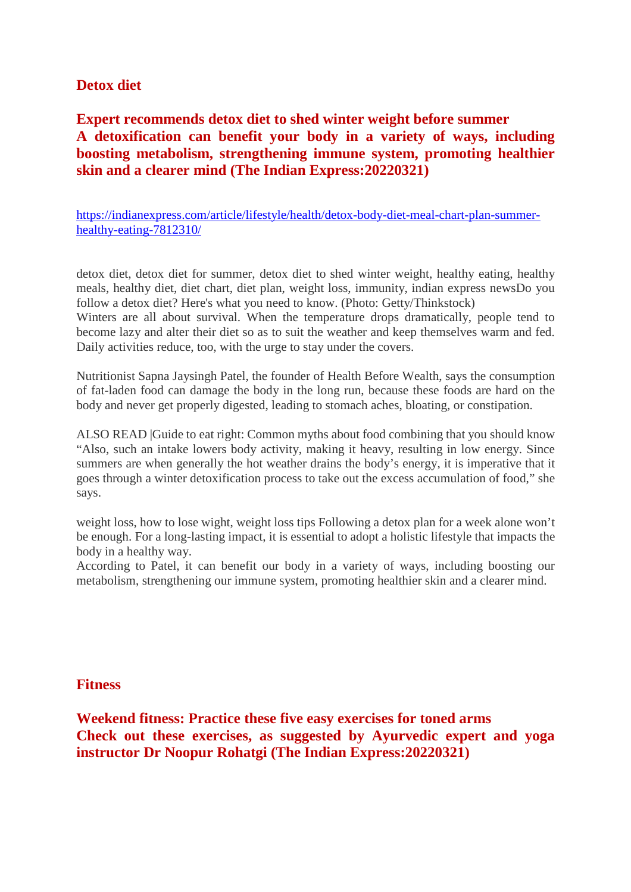#### **Detox diet**

**Expert recommends detox diet to shed winter weight before summer A detoxification can benefit your body in a variety of ways, including boosting metabolism, strengthening immune system, promoting healthier skin and a clearer mind (The Indian Express:20220321)**

https://indianexpress.com/article/lifestyle/health/detox-body-diet-meal-chart-plan-summerhealthy-eating-7812310/

detox diet, detox diet for summer, detox diet to shed winter weight, healthy eating, healthy meals, healthy diet, diet chart, diet plan, weight loss, immunity, indian express newsDo you follow a detox diet? Here's what you need to know. (Photo: Getty/Thinkstock) Winters are all about survival. When the temperature drops dramatically, people tend to

become lazy and alter their diet so as to suit the weather and keep themselves warm and fed. Daily activities reduce, too, with the urge to stay under the covers.

Nutritionist Sapna Jaysingh Patel, the founder of Health Before Wealth, says the consumption of fat-laden food can damage the body in the long run, because these foods are hard on the body and never get properly digested, leading to stomach aches, bloating, or constipation.

ALSO READ |Guide to eat right: Common myths about food combining that you should know "Also, such an intake lowers body activity, making it heavy, resulting in low energy. Since summers are when generally the hot weather drains the body's energy, it is imperative that it goes through a winter detoxification process to take out the excess accumulation of food," she says.

weight loss, how to lose wight, weight loss tips Following a detox plan for a week alone won't be enough. For a long-lasting impact, it is essential to adopt a holistic lifestyle that impacts the body in a healthy way.

According to Patel, it can benefit our body in a variety of ways, including boosting our metabolism, strengthening our immune system, promoting healthier skin and a clearer mind.

#### **Fitness**

**Weekend fitness: Practice these five easy exercises for toned arms Check out these exercises, as suggested by Ayurvedic expert and yoga instructor Dr Noopur Rohatgi (The Indian Express:20220321)**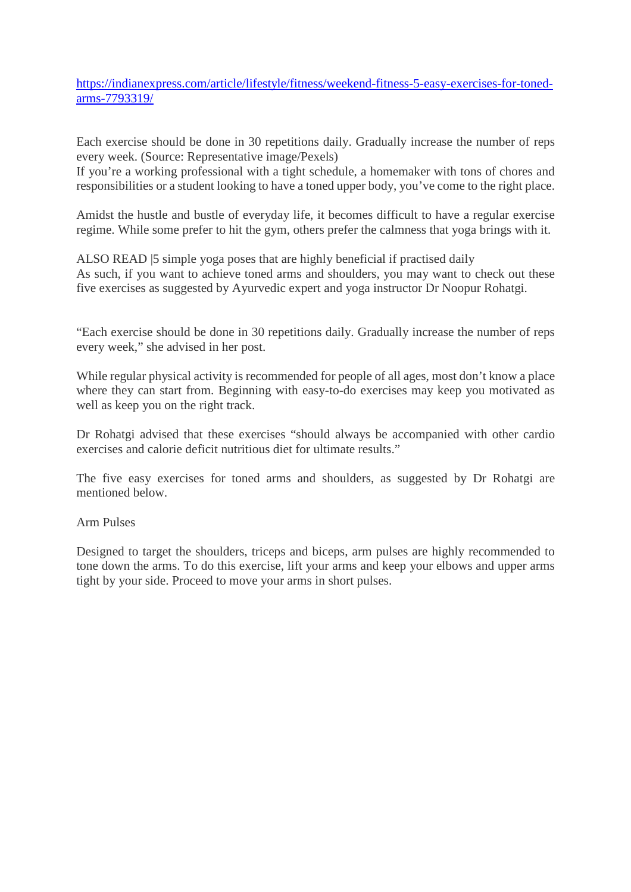https://indianexpress.com/article/lifestyle/fitness/weekend-fitness-5-easy-exercises-for-tonedarms-7793319/

Each exercise should be done in 30 repetitions daily. Gradually increase the number of reps every week. (Source: Representative image/Pexels)

If you're a working professional with a tight schedule, a homemaker with tons of chores and responsibilities or a student looking to have a toned upper body, you've come to the right place.

Amidst the hustle and bustle of everyday life, it becomes difficult to have a regular exercise regime. While some prefer to hit the gym, others prefer the calmness that yoga brings with it.

ALSO READ |5 simple yoga poses that are highly beneficial if practised daily As such, if you want to achieve toned arms and shoulders, you may want to check out these five exercises as suggested by Ayurvedic expert and yoga instructor Dr Noopur Rohatgi.

"Each exercise should be done in 30 repetitions daily. Gradually increase the number of reps every week," she advised in her post.

While regular physical activity is recommended for people of all ages, most don't know a place where they can start from. Beginning with easy-to-do exercises may keep you motivated as well as keep you on the right track.

Dr Rohatgi advised that these exercises "should always be accompanied with other cardio exercises and calorie deficit nutritious diet for ultimate results."

The five easy exercises for toned arms and shoulders, as suggested by Dr Rohatgi are mentioned below.

Arm Pulses

Designed to target the shoulders, triceps and biceps, arm pulses are highly recommended to tone down the arms. To do this exercise, lift your arms and keep your elbows and upper arms tight by your side. Proceed to move your arms in short pulses.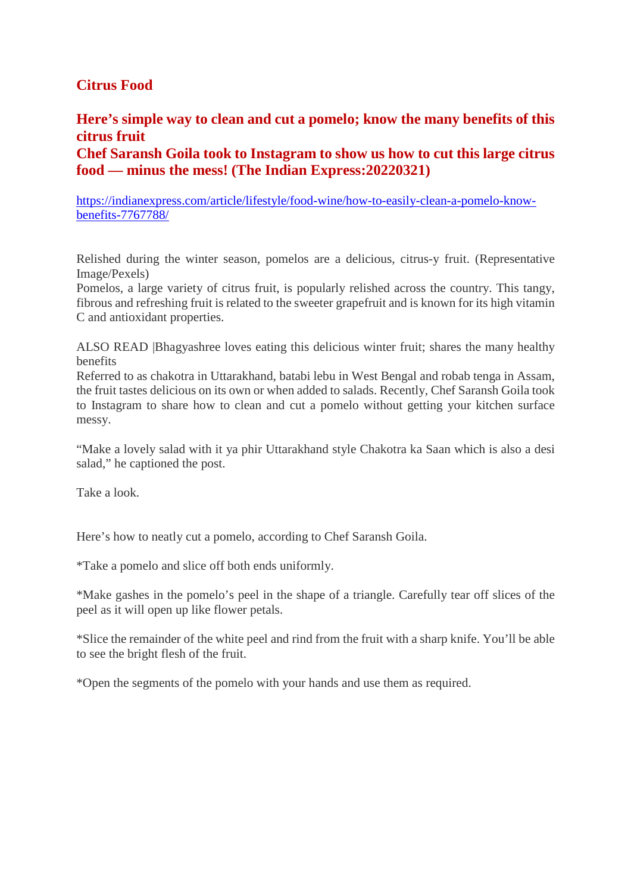#### **Citrus Food**

#### **Here's simple way to clean and cut a pomelo; know the many benefits of this citrus fruit**

**Chef Saransh Goila took to Instagram to show us how to cut this large citrus food — minus the mess! (The Indian Express:20220321)**

https://indianexpress.com/article/lifestyle/food-wine/how-to-easily-clean-a-pomelo-knowbenefits-7767788/

Relished during the winter season, pomelos are a delicious, citrus-y fruit. (Representative Image/Pexels)

Pomelos, a large variety of citrus fruit, is popularly relished across the country. This tangy, fibrous and refreshing fruit is related to the sweeter grapefruit and is known for its high vitamin C and antioxidant properties.

ALSO READ |Bhagyashree loves eating this delicious winter fruit; shares the many healthy benefits

Referred to as chakotra in Uttarakhand, batabi lebu in West Bengal and robab tenga in Assam, the fruit tastes delicious on its own or when added to salads. Recently, Chef Saransh Goila took to Instagram to share how to clean and cut a pomelo without getting your kitchen surface messy.

"Make a lovely salad with it ya phir Uttarakhand style Chakotra ka Saan which is also a desi salad," he captioned the post.

Take a look.

Here's how to neatly cut a pomelo, according to Chef Saransh Goila.

\*Take a pomelo and slice off both ends uniformly.

\*Make gashes in the pomelo's peel in the shape of a triangle. Carefully tear off slices of the peel as it will open up like flower petals.

\*Slice the remainder of the white peel and rind from the fruit with a sharp knife. You'll be able to see the bright flesh of the fruit.

\*Open the segments of the pomelo with your hands and use them as required.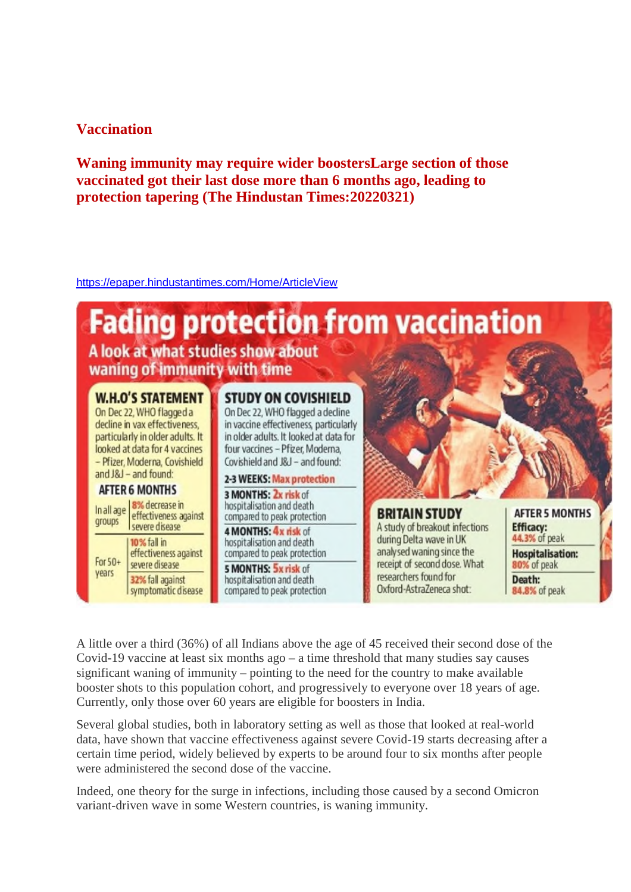#### **Vaccination**

**Waning immunity may require wider boostersLarge section of those vaccinated got their last dose more than 6 months ago, leading to protection tapering (The Hindustan Times:20220321)**

https://epaper.hindustantimes.com/Home/ArticleView



A little over a third (36%) of all Indians above the age of 45 received their second dose of the Covid-19 vaccine at least six months ago – a time threshold that many studies say causes significant waning of immunity – pointing to the need for the country to make available booster shots to this population cohort, and progressively to everyone over 18 years of age. Currently, only those over 60 years are eligible for boosters in India.

Several global studies, both in laboratory setting as well as those that looked at real-world data, have shown that vaccine effectiveness against severe Covid-19 starts decreasing after a certain time period, widely believed by experts to be around four to six months after people were administered the second dose of the vaccine.

Indeed, one theory for the surge in infections, including those caused by a second Omicron variant-driven wave in some Western countries, is waning immunity.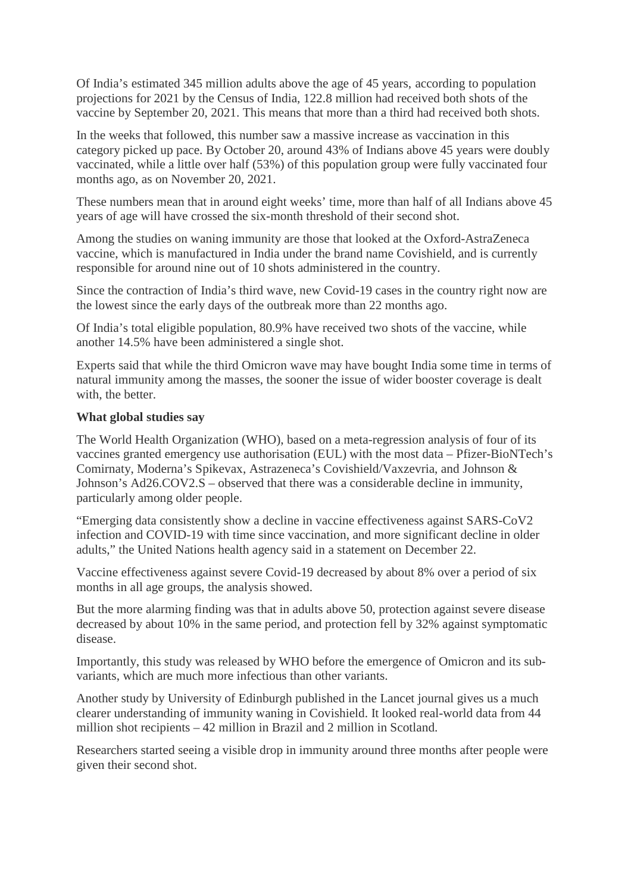Of India's estimated 345 million adults above the age of 45 years, according to population projections for 2021 by the Census of India, 122.8 million had received both shots of the vaccine by September 20, 2021. This means that more than a third had received both shots.

In the weeks that followed, this number saw a massive increase as vaccination in this category picked up pace. By October 20, around 43% of Indians above 45 years were doubly vaccinated, while a little over half (53%) of this population group were fully vaccinated four months ago, as on November 20, 2021.

These numbers mean that in around eight weeks' time, more than half of all Indians above 45 years of age will have crossed the six-month threshold of their second shot.

Among the studies on waning immunity are those that looked at the Oxford-AstraZeneca vaccine, which is manufactured in India under the brand name Covishield, and is currently responsible for around nine out of 10 shots administered in the country.

Since the contraction of India's third wave, new Covid-19 cases in the country right now are the lowest since the early days of the outbreak more than 22 months ago.

Of India's total eligible population, 80.9% have received two shots of the vaccine, while another 14.5% have been administered a single shot.

Experts said that while the third Omicron wave may have bought India some time in terms of natural immunity among the masses, the sooner the issue of wider booster coverage is dealt with, the better.

#### **What global studies say**

The World Health Organization (WHO), based on a meta-regression analysis of four of its vaccines granted emergency use authorisation (EUL) with the most data – Pfizer-BioNTech's Comirnaty, Moderna's Spikevax, Astrazeneca's Covishield/Vaxzevria, and Johnson & Johnson's Ad26.COV2.S – observed that there was a considerable decline in immunity, particularly among older people.

"Emerging data consistently show a decline in vaccine effectiveness against SARS-CoV2 infection and COVID-19 with time since vaccination, and more significant decline in older adults," the United Nations health agency said in a statement on December 22.

Vaccine effectiveness against severe Covid-19 decreased by about 8% over a period of six months in all age groups, the analysis showed.

But the more alarming finding was that in adults above 50, protection against severe disease decreased by about 10% in the same period, and protection fell by 32% against symptomatic disease.

Importantly, this study was released by WHO before the emergence of Omicron and its subvariants, which are much more infectious than other variants.

Another study by University of Edinburgh published in the Lancet journal gives us a much clearer understanding of immunity waning in Covishield. It looked real-world data from 44 million shot recipients – 42 million in Brazil and 2 million in Scotland.

Researchers started seeing a visible drop in immunity around three months after people were given their second shot.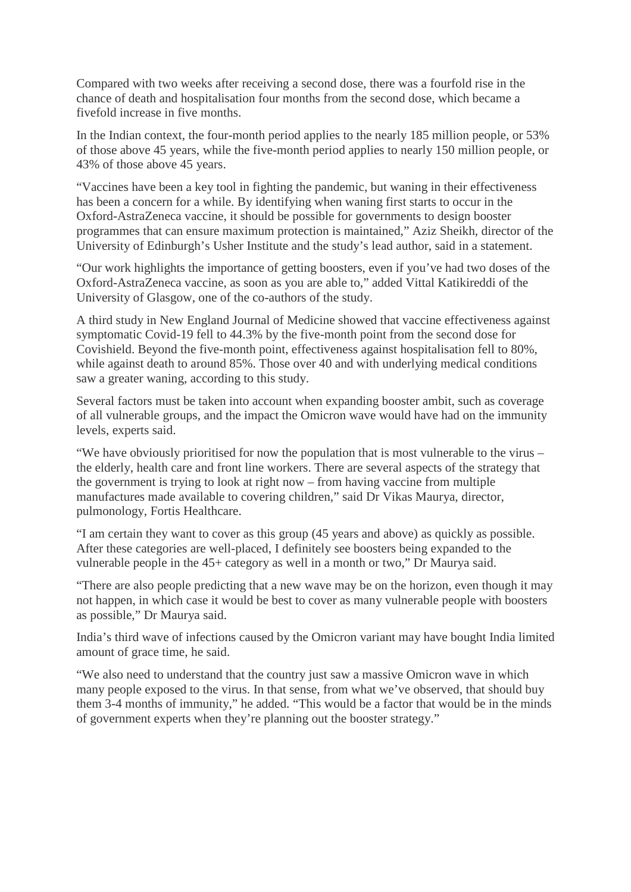Compared with two weeks after receiving a second dose, there was a fourfold rise in the chance of death and hospitalisation four months from the second dose, which became a fivefold increase in five months.

In the Indian context, the four-month period applies to the nearly 185 million people, or 53% of those above 45 years, while the five-month period applies to nearly 150 million people, or 43% of those above 45 years.

"Vaccines have been a key tool in fighting the pandemic, but waning in their effectiveness has been a concern for a while. By identifying when waning first starts to occur in the Oxford-AstraZeneca vaccine, it should be possible for governments to design booster programmes that can ensure maximum protection is maintained," Aziz Sheikh, director of the University of Edinburgh's Usher Institute and the study's lead author, said in a statement.

"Our work highlights the importance of getting boosters, even if you've had two doses of the Oxford-AstraZeneca vaccine, as soon as you are able to," added Vittal Katikireddi of the University of Glasgow, one of the co-authors of the study.

A third study in New England Journal of Medicine showed that vaccine effectiveness against symptomatic Covid-19 fell to 44.3% by the five-month point from the second dose for Covishield. Beyond the five-month point, effectiveness against hospitalisation fell to 80%, while against death to around 85%. Those over 40 and with underlying medical conditions saw a greater waning, according to this study.

Several factors must be taken into account when expanding booster ambit, such as coverage of all vulnerable groups, and the impact the Omicron wave would have had on the immunity levels, experts said.

"We have obviously prioritised for now the population that is most vulnerable to the virus – the elderly, health care and front line workers. There are several aspects of the strategy that the government is trying to look at right now – from having vaccine from multiple manufactures made available to covering children," said Dr Vikas Maurya, director, pulmonology, Fortis Healthcare.

"I am certain they want to cover as this group (45 years and above) as quickly as possible. After these categories are well-placed, I definitely see boosters being expanded to the vulnerable people in the 45+ category as well in a month or two," Dr Maurya said.

"There are also people predicting that a new wave may be on the horizon, even though it may not happen, in which case it would be best to cover as many vulnerable people with boosters as possible," Dr Maurya said.

India's third wave of infections caused by the Omicron variant may have bought India limited amount of grace time, he said.

"We also need to understand that the country just saw a massive Omicron wave in which many people exposed to the virus. In that sense, from what we've observed, that should buy them 3-4 months of immunity," he added. "This would be a factor that would be in the minds of government experts when they're planning out the booster strategy."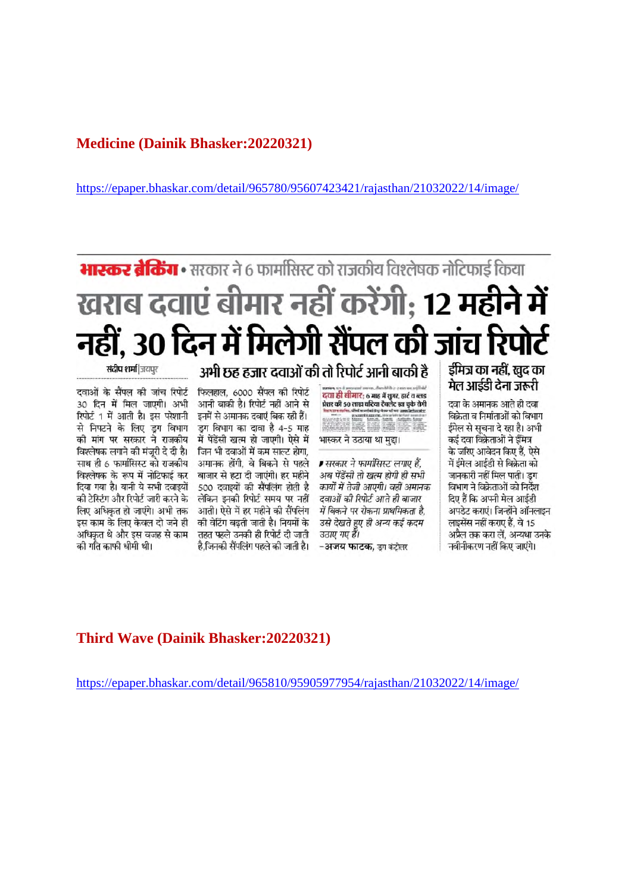#### **Medicine (Dainik Bhasker:20220321)**

https://epaper.bhaskar.com/detail/965780/95607423421/rajasthan/21032022/14/image/

## **भारकर बेकिंग** • सरकार ने ६ फार्मासिस्ट को राजकीय विश्लेषक नोटिफाई किया खराब दवाएं बीमार नहीं करेंगी: 12 महीने में नहीं, 30 दिन में मिलेगी सैंपल की जांच रिपोर्ट संदीप शर्मा जयपर

अभी छह हजार दवाओं की तो रिपोर्ट आनी बाकी है

दवाओं के सैंपल की जांच रिपोर्ट फिलहाल. 6000 सैंपल की रिपोर्ट 30 दिन में मिल जाएगी। अभी आनी बाकी है। रिपोर्ट नहीं आने से रिपोर्ट 1 में आती है। इस परेशानी से निपटने के लिए ड्रग विभाग ड्रग विभाग का दावा है 4-5 माह<br>की मांग पर सरकार ने राजकीय में पेंडेंसी खत्म हो जाएगी। ऐसे में विश्लेषक लगाने की मंजूरी दे दी है। जिन भी दवाओं में कम साल्ट होगा, साथ ही 6 फार्मासिस्ट को राजकीय अमानक होंगी. वे बिकने से पहले विश्लेषक के रूप में नोटिफाई कर बाजार से हटा दी जाएंगी। हर महीने दिया गया है। यानी ये सभी दवाइयों 500 दवाइयों की सैंपलिंग होती है की टेस्टिंग और रिपोर्ट जारी करने के लिए अधिकृत हो जाएंगे। अभी तक आती। ऐसे में हर महीने की सैंपलिंग इस काम के लिए केवल दो जने ही अधिकत थे और इस वजह से काम की गति काफी धीमी थी।

इनमें से अमानक दवाएं बिक रही हैं। लेकिन इनकी रिपोर्ट समय पर नहीं की वेटिंग बढती जाती है। नियमों के तहत पहले उनकी ही रिपोर्ट दी जाती है,जिनकी सैंपलिंग पहले की जाती है। कालन पुर के पास कर काल की को साथ का पानी कर<br>देवा ही बीमार, 6 माह में शुगर, हार्ट व ब्लड<br>प्रेशर की 50 लाख घटिया टैबलेट खा चुके रोगी **KOOL**  $rac{15.53}{1.000}$ 

भास्कर ने उठाया था मुद्दा।

■ सरकार ने फार्मासिस्ट लगाए हैं. अब पेंडेंसी तो खत्म होगी ही सभी कार्यों में तेजी आएगी। वहीं अमानक दवाओं की रिपोर्ट आते ही बाजार में बिकने पर रोकना प्राथमिकता है. उसे देखते हुए ही अन्य कई कदम उठाए गए हैं।

-अजय फाटक, डग कंटोलर

ईमित्र का नहीं, खुद का मेल आईडी देना जरूरी

दवा के अमानक आते ही दवा विक्रेता व निर्माताओं को विभाग ईमेल से सचना दे रहा है। अभी कई दवा विक्रेताओं ने ईमित्र के जरिए आवेदन किए हैं. ऐसे में ईमेल आईडी से विक्रेता को जानकारी नहीं मिल पाती। डग विभाग ने विक्रेताओं को निर्देश दिए हैं कि अपनी मेल आईडी अपडेट कराएं। जिन्होंने ऑनलाइन लाइसेंस नहीं कराए हैं, वे 15 अप्रैल तक करा लें. अन्यथा उनके नवीनीकरण नहीं किए जाएंगे।

#### **Third Wave (Dainik Bhasker:20220321)**

https://epaper.bhaskar.com/detail/965810/95905977954/rajasthan/21032022/14/image/